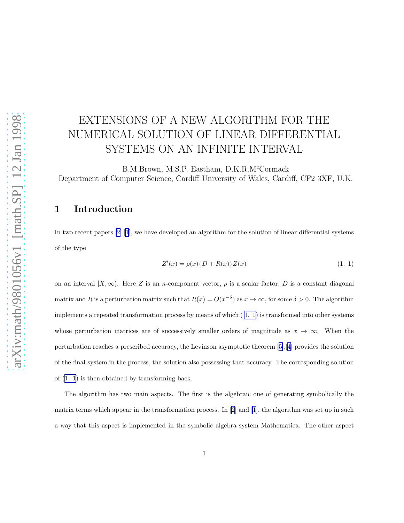# <span id="page-0-0"></span>EXTENSIONS OF A NEW ALGORITHM FOR THE NUMERICAL SOLUTION OF LINEAR DIFFERENTIAL SYSTEMS ON AN INFINITE INTERVAL

B.M.Brown, M.S.P. Eastham, D.K.R.M<sup>c</sup>Cormack Department of Computer Science, Cardiff University of Wales, Cardiff, CF2 3XF, U.K.

#### 1 Introduction

In two recent papers  $[2], [1],$  $[2], [1],$  $[2], [1],$  we have developed an algorithm for the solution of linear differential systems of the type

$$
Z'(x) = \rho(x)\{D + R(x)\}Z(x)
$$
\n(1. 1)

on an interval  $[X,\infty)$ . Here Z is an n-component vector,  $\rho$  is a scalar factor, D is a constant diagonal matrix and R is a perturbation matrix such that  $R(x) = O(x^{-\delta})$  as  $x \to \infty$ , for some  $\delta > 0$ . The algorithm implements a repeated transformation process by means of which ( 1. 1) is transformed into other systems whose perturbation matrices are of successively smaller orders of magnitude as  $x \to \infty$ . When the perturbation reaches a prescribed accuracy, the Levinson asymptotic theorem[[5\]](#page-20-0),[[4\]](#page-20-0) provides the solution of the final system in the process, the solution also possessing that accuracy. The corresponding solution of (1. 1) is then obtained by transforming back.

The algorithm has two main aspects. The first is the algebraic one of generating symbolically the matrix terms which appear in the transformation process. In[[2](#page-20-0)] and [\[1](#page-20-0)], the algorithm was set up in such a way that this aspect is implemented in the symbolic algebra system Mathematica. The other aspect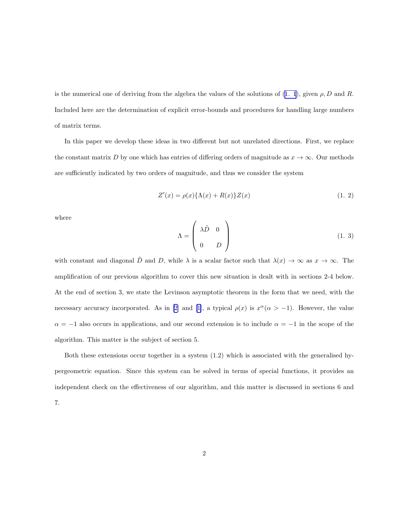<span id="page-1-0"></span>isthe numerical one of deriving from the algebra the values of the solutions of  $(1, 1)$ , given  $\rho$ , D and R. Included here are the determination of explicit error-bounds and procedures for handling large numbers of matrix terms.

In this paper we develop these ideas in two different but not unrelated directions. First, we replace the constant matrix D by one which has entries of differing orders of magnitude as  $x \to \infty$ . Our methods are sufficiently indicated by two orders of magnitude, and thus we consider the system

$$
Z'(x) = \rho(x)\{\Lambda(x) + R(x)\}Z(x)
$$
\n(1. 2)

where

$$
\Lambda = \begin{pmatrix} \lambda \tilde{D} & 0 \\ 0 & D \end{pmatrix}
$$
 (1. 3)

with constant and diagonal  $\tilde{D}$  and D, while  $\lambda$  is a scalar factor such that  $\lambda(x) \to \infty$  as  $x \to \infty$ . The amplification of our previous algorithm to cover this new situation is dealt with in sections 2-4 below. At the end of section 3, we state the Levinson asymptotic theorem in the form that we need, with the necessary accuracy incorporated. As in [\[2](#page-20-0)] and [\[1\]](#page-20-0), a typical  $\rho(x)$  is  $x^{\alpha}(\alpha > -1)$ . However, the value  $\alpha = -1$  also occurs in applications, and our second extension is to include  $\alpha = -1$  in the scope of the algorithm. This matter is the subject of section 5.

Both these extensions occur together in a system (1.2) which is associated with the generalised hypergeometric equation. Since this system can be solved in terms of special functions, it provides an independent check on the effectiveness of our algorithm, and this matter is discussed in sections 6 and 7.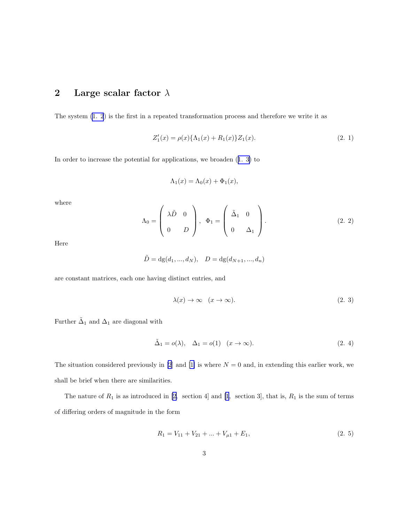# <span id="page-2-0"></span>2 Large scalar factor  $\lambda$

The system [\(1. 2](#page-1-0)) is the first in a repeated transformation process and therefore we write it as

$$
Z_1'(x) = \rho(x)\{\Lambda_1(x) + R_1(x)\}Z_1(x). \tag{2.1}
$$

In order to increase the potential for applications, we broaden([1. 3\)](#page-1-0) to

$$
\Lambda_1(x) = \Lambda_0(x) + \Phi_1(x),
$$

where

$$
\Lambda_0 = \begin{pmatrix} \lambda \tilde{D} & 0 \\ 0 & D \end{pmatrix}, \Phi_1 = \begin{pmatrix} \tilde{\Delta}_1 & 0 \\ 0 & \Delta_1 \end{pmatrix}.
$$
 (2. 2)

Here

$$
\tilde{D} = dg(d_1, ..., d_N), \quad D = dg(d_{N+1}, ..., d_n)
$$

are constant matrices, each one having distinct entries, and

$$
\lambda(x) \to \infty \quad (x \to \infty). \tag{2.3}
$$

Further  $\tilde{\Delta}_1$  and  $\Delta_1$  are diagonal with

$$
\tilde{\Delta}_1 = o(\lambda), \quad \Delta_1 = o(1) \quad (x \to \infty). \tag{2.4}
$$

The situation considered previously in [\[2](#page-20-0)] and [\[1\]](#page-20-0) is where  $N = 0$  and, in extending this earlier work, we shall be brief when there are similarities.

The nature of  $R_1$  is as introduced in [\[2,](#page-20-0) section 4] and [\[1](#page-20-0), section 3], that is,  $R_1$  is the sum of terms of differing orders of magnitude in the form

$$
R_1 = V_{11} + V_{21} + \dots + V_{\mu 1} + E_1,\tag{2.5}
$$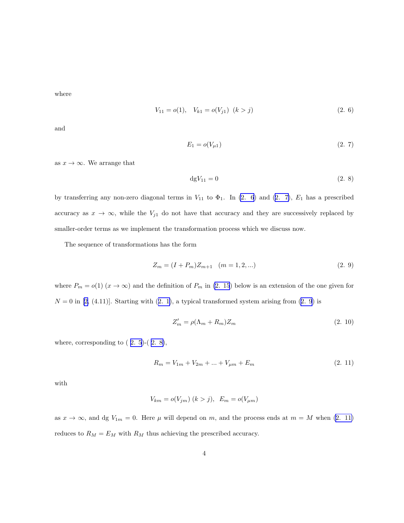<span id="page-3-0"></span>where

$$
V_{11} = o(1), \quad V_{k1} = o(V_{j1}) \quad (k > j) \tag{2.6}
$$

and

$$
E_1 = o(V_{\mu 1}) \tag{2.7}
$$

as  $x \to \infty$ . We arrange that

$$
\mathrm{d}gV_{11} = 0\tag{2.8}
$$

by transferring any non-zero diagonal terms in  $V_{11}$  to  $\Phi_1$ . In (2. 6) and (2. 7),  $E_1$  has a prescribed accuracy as  $x \to \infty$ , while the  $V_{j1}$  do not have that accuracy and they are successively replaced by smaller-order terms as we implement the transformation process which we discuss now.

The sequence of transformations has the form

$$
Z_m = (I + P_m)Z_{m+1} \quad (m = 1, 2, \ldots)
$$
\n<sup>(2.9)</sup>

where  $P_m = o(1)$   $(x \to \infty)$  and the definition of  $P_m$  in [\(2. 15](#page-4-0)) below is an extension of the one given for  $N = 0$  $N = 0$  $N = 0$  in [[2,](#page-20-0) (4.11)]. Starting with ([2. 1\)](#page-2-0), a typical transformed system arising from (2. 9) is

$$
Z'_m = \rho(\Lambda_m + R_m)Z_m \tag{2.10}
$$

where, corresponding to  $(2.5)-(2.8)$ ,

$$
R_m = V_{1m} + V_{2m} + \dots + V_{\mu m} + E_m \tag{2.11}
$$

with

$$
V_{km} = o(V_{jm}) \ (k > j), \ E_m = o(V_{\mu m})
$$

as  $x \to \infty$ , and dg  $V_{1m} = 0$ . Here  $\mu$  will depend on m, and the process ends at  $m = M$  when (2. 11) reduces to  $R_M = E_M$  with  $R_M$  thus achieving the prescribed accuracy.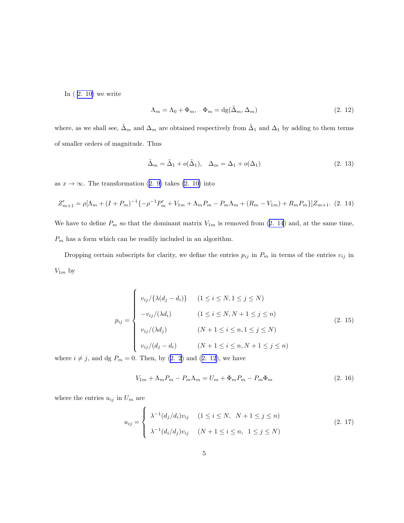<span id="page-4-0"></span>In  $(2. 10)$  we write

$$
\Lambda_m = \Lambda_0 + \Phi_m, \quad \Phi_m = \text{dg}(\tilde{\Delta}_m, \Delta_m) \tag{2.12}
$$

where, as we shall see,  $\tilde{\Delta}_m$  and  $\Delta_m$  are obtained respectively from  $\tilde{\Delta}_1$  and  $\Delta_1$  by adding to them terms of smaller orders of magnitude. Thus

$$
\tilde{\Delta}_m = \tilde{\Delta}_1 + o(\tilde{\Delta}_1), \quad \Delta_m = \Delta_1 + o(\Delta_1)
$$
\n(2. 13)

as $x \to \infty$ . The transformation ([2. 9\)](#page-3-0) takes [\(2. 10\)](#page-3-0) into

$$
Z'_{m+1} = \rho[\Lambda_m + (I + P_m)^{-1}\{-\rho^{-1}P'_m + V_{1m} + \Lambda_m P_m - P_m \Lambda_m + (R_m - V_{1m}) + R_m P_m\}]Z_{m+1}.
$$
 (2. 14)

We have to define  $P_m$  so that the dominant matrix  $V_{1m}$  is removed from (2. 14) and, at the same time,  $\mathcal{P}_m$  has a form which can be readily included in an algorithm.

Dropping certain subscripts for clarity, we define the entries  $p_{ij}$  in  $P_m$  in terms of the entries  $v_{ij}$  in  $V_{1m}$  by

$$
p_{ij} = \begin{cases} v_{ij} / {\lambda(d_j - d_i)} & (1 \le i \le N, 1 \le j \le N) \\ -v_{ij} / (\lambda d_i) & (1 \le i \le N, N + 1 \le j \le n) \\ v_{ij} / (\lambda d_j) & (N + 1 \le i \le n, 1 \le j \le N) \\ v_{ij} / (d_j - d_i) & (N + 1 \le i \le n, N + 1 \le j \le n) \end{cases}
$$
(2. 15)

where  $i \neq j$ , and dg  $P_m = 0$ . Then, by [\(2. 2](#page-2-0)) and (2. 12), we have

$$
V_{1m} + \Lambda_m P_m - P_m \Lambda_m = U_m + \Phi_m P_m - P_m \Phi_m \tag{2.16}
$$

where the entries  $u_{ij}$  in  $\mathcal{U}_m$  are

$$
u_{ij} = \begin{cases} \lambda^{-1}(d_j/d_i)v_{ij} & (1 \le i \le N, \ N+1 \le j \le n) \\ \lambda^{-1}(d_i/d_j)v_{ij} & (N+1 \le i \le n, \ 1 \le j \le N) \end{cases}
$$
 (2. 17)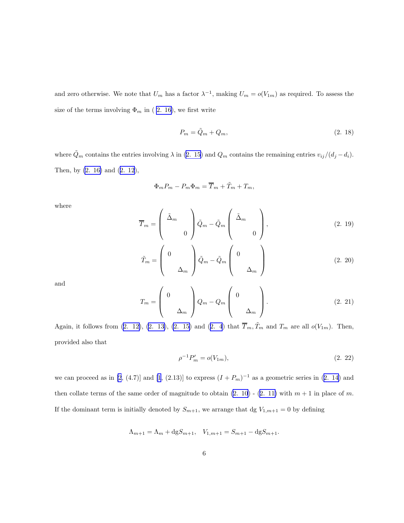<span id="page-5-0"></span>and zero otherwise. We note that  $U_m$  has a factor  $\lambda^{-1}$ , making  $U_m = o(V_{1m})$  as required. To assess the size of the terms involving  $\Phi_m$  in (2. 16), we first write

$$
P_m = \tilde{Q}_m + Q_m,\tag{2.18}
$$

where  $\tilde{Q}_m$  contains the entries involving  $\lambda$  in [\(2. 15](#page-4-0)) and  $Q_m$  contains the remaining entries  $v_{ij}/(d_j - d_i)$ . Then, by [\(2. 16\)](#page-4-0) and([2. 12](#page-4-0)),

$$
\Phi_m P_m - P_m \Phi_m = \overline{T}_m + \widetilde{T}_m + T_m,
$$

where

$$
\overline{T}_m = \begin{pmatrix} \tilde{\Delta}_m & & \\ & 0 & \\ & & 0 \end{pmatrix} \tilde{Q}_m - \tilde{Q}_m \begin{pmatrix} \tilde{\Delta}_m & & \\ & 0 & \\ & & 0 \end{pmatrix},\tag{2.19}
$$

$$
\tilde{T}_m = \begin{pmatrix} 0 & & \\ & \Delta_m & \end{pmatrix} \tilde{Q}_m - \tilde{Q}_m \begin{pmatrix} 0 & & \\ & \Delta_m & \end{pmatrix} \tag{2.20}
$$

and

$$
T_m = \begin{pmatrix} 0 & & \\ & \Delta_m & \\ & & \Delta_m \end{pmatrix} Q_m - Q_m \begin{pmatrix} 0 & & \\ & \Delta_m & \\ & & \Delta_m \end{pmatrix} . \tag{2.21}
$$

Again,it follows from  $(2. 12)$  $(2. 12)$ ,  $(2. 13)$ ,  $(2. 15)$  and  $(2. 4)$  $(2. 4)$  $(2. 4)$  that  $\overline{T}_m, \widetilde{T}_m$  and  $T_m$  are all  $o(V_{1m})$ . Then, provided also that

$$
\rho^{-1}P'_m = o(V_{1m}),\tag{2.22}
$$

we can proceed as in [\[2](#page-20-0), (4.7)] and [\[1](#page-20-0),(2.13)] to express  $(I + P_m)^{-1}$  as a geometric series in ([2. 14](#page-4-0)) and thencollate terms of the same order of magnitude to obtain  $(2. 10)$  -  $(2. 11)$  $(2. 11)$  with  $m + 1$  in place of m. If the dominant term is initially denoted by  $S_{m+1}$ , we arrange that dg  $V_{1,m+1} = 0$  by defining

$$
\Lambda_{m+1} = \Lambda_m + \text{dg} S_{m+1}, \quad V_{1,m+1} = S_{m+1} - \text{dg} S_{m+1}.
$$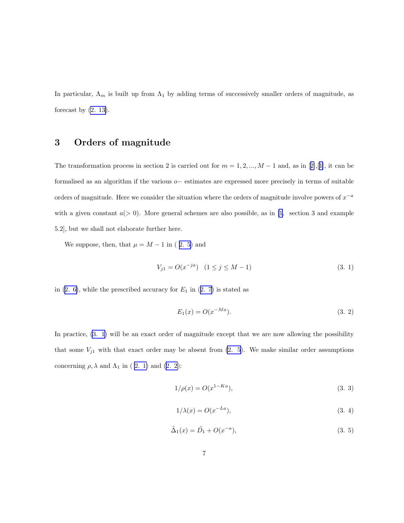<span id="page-6-0"></span>In particular,  $\Lambda_m$  is built up from  $\Lambda_1$  by adding terms of successively smaller orders of magnitude, as forecast by  $(2. 13)$ .

## 3 Orders of magnitude

Thetransformation process in section 2 is carried out for  $m = 1, 2, ..., M - 1$  and, as in [[2\]](#page-20-0),[[1\]](#page-20-0), it can be formalised as an algorithm if the various o− estimates are expressed more precisely in terms of suitable orders of magnitude. Here we consider the situation where the orders of magnitude involve powers of  $x^{-a}$ with a given constant  $a(> 0)$ . More general schemes are also possible, as in [\[1](#page-20-0), section 3 and example 5.2], but we shall not elaborate further here.

We suppose, then, that  $\mu = M - 1$  in (2.5) and

$$
V_{j1} = O(x^{-ja}) \quad (1 \le j \le M - 1) \tag{3.1}
$$

in $(2. 6)$ , while the prescribed accuracy for  $E_1$  in  $(2. 7)$  $(2. 7)$  $(2. 7)$  is stated as

$$
E_1(x) = O(x^{-Ma}).
$$
\n(3. 2)

In practice, (3. 1) will be an exact order of magnitude except that we are now allowing the possibility that some  $V_{j1}$  with that exact order may be absent from  $(2. 5)$ . We make similar order assumptions concerning $\rho, \lambda$  and  $\Lambda_1$  in ( [2. 1\)](#page-2-0) and ([2. 2](#page-2-0)):

$$
1/\rho(x) = O(x^{1-Ka}),
$$
\n(3. 3)

$$
1/\lambda(x) = O(x^{-La}),\tag{3.4}
$$

$$
\tilde{\Delta}_1(x) = \tilde{D_1} + O(x^{-a}),
$$
\n(3. 5)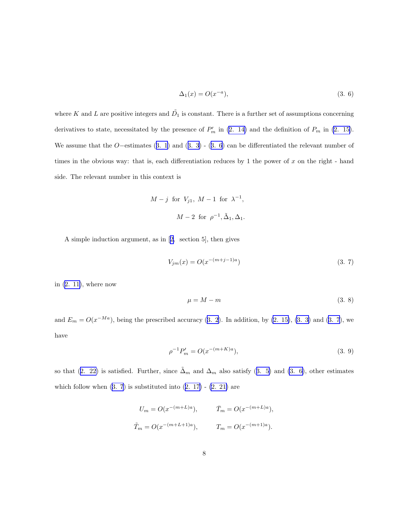$$
\Delta_1(x) = O(x^{-a}),\tag{3.6}
$$

<span id="page-7-0"></span>where K and L are positive integers and  $\tilde{D_1}$  is constant. There is a further set of assumptions concerning derivatives to state, necessitated by the presence of  $P'_m$  in [\(2. 14\)](#page-4-0) and the definition of  $P_m$  in [\(2. 15\)](#page-4-0). Weassume that the O−estimates  $(3. 1)$  $(3. 1)$  $(3. 1)$  and  $(3. 3)$  $(3. 3)$  -  $(3. 6)$  can be differentiated the relevant number of times in the obvious way: that is, each differentiation reduces by 1 the power of  $x$  on the right - hand side. The relevant number in this context is

$$
M-j \text{ for } V_{j1}, M-1 \text{ for } \lambda^{-1},
$$

$$
M-2 \text{ for } \rho^{-1}, \tilde{\Delta}_1, \Delta_1.
$$

A simple induction argument, as in[[2,](#page-20-0) section 5], then gives

$$
V_{jm}(x) = O(x^{-(m+j-1)a})
$$
\n(3. 7)

in [\(2. 11\)](#page-3-0), where now

$$
\mu = M - m \tag{3.8}
$$

and  $E_m = O(x^{-Ma})$ , being the prescribed accuracy [\(3. 2](#page-6-0)). In addition, by [\(2. 15\)](#page-4-0), [\(3. 3\)](#page-6-0) and (3. 7), we have

$$
\rho^{-1}P'_m = O(x^{-(m+K)a}),\tag{3.9}
$$

sothat ([2. 22\)](#page-5-0) is satisfied. Further, since  $\tilde{\Delta}_m$  and  $\Delta_m$  also satisfy ([3. 5\)](#page-6-0) and (3. 6), other estimates whichfollow when  $(3. 7)$  is substituted into  $(2. 17)$  $(2. 17)$  -  $(2. 21)$  are

$$
U_m = O(x^{-(m+L)a}), \qquad \bar{T}_m = O(x^{-(m+L)a}),
$$
  

$$
\tilde{T}_m = O(x^{-(m+L+1)a}), \qquad T_m = O(x^{-(m+1)a}).
$$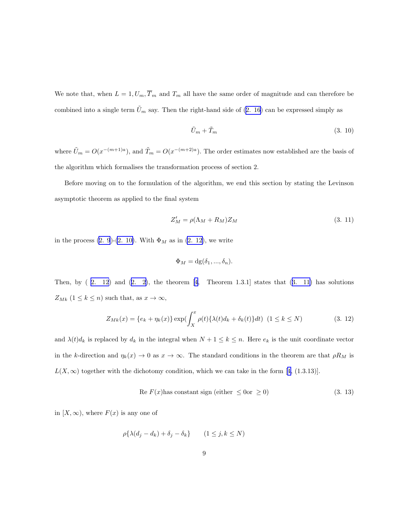<span id="page-8-0"></span>We note that, when  $L = 1, U_m, \overline{T}_m$  and  $T_m$  all have the same order of magnitude and can therefore be combinedinto a single term  $\tilde{U}_m$  say. Then the right-hand side of ([2. 16](#page-4-0)) can be expressed simply as

$$
\tilde{U}_m + \tilde{T}_m \tag{3.10}
$$

where  $\tilde{U}_m = O(x^{-(m+1)a})$ , and  $\tilde{T}_m = O(x^{-(m+2)a})$ . The order estimates now established are the basis of the algorithm which formalises the transformation process of section 2.

Before moving on to the formulation of the algorithm, we end this section by stating the Levinson asymptotic theorem as applied to the final system

$$
Z'_M = \rho(\Lambda_M + R_M)Z_M \tag{3.11}
$$

in the process [\(2. 9](#page-3-0))-[\(2. 10\)](#page-3-0). With  $\Phi_M$  as in [\(2. 12\)](#page-4-0), we write

$$
\Phi_M = dg(\delta_1, ..., \delta_n).
$$

Then,by  $(2. 12)$  and  $(2. 2)$  $(2. 2)$  $(2. 2)$ , the theorem  $[4,$  Theorem 1.3.1] states that  $(3. 11)$  has solutions  $Z_{Mk}$   $(1\leq k\leq n)$  such that, as  $x\rightarrow\infty,$ 

$$
Z_{Mk}(x) = \{e_k + \eta_k(x)\} \exp(\int_X^x \rho(t) \{\lambda(t)d_k + \delta_k(t)\} dt) \ (1 \le k \le N)
$$
 (3. 12)

and  $\lambda(t)d_k$  is replaced by  $d_k$  in the integral when  $N + 1 \leq k \leq n$ . Here  $e_k$  is the unit coordinate vector in the k-direction and  $\eta_k(x) \to 0$  as  $x \to \infty$ . The standard conditions in the theorem are that  $\rho R_M$  is  $L(X,\infty)$ together with the dichotomy condition, which we can take in the form [[4,](#page-20-0) (1.3.13)].

$$
Re F(x) has constant sign (either \leq 0 or \geq 0)
$$
\n(3. 13)

in  $[X,\infty)$ , where  $F(x)$  is any one of

$$
\rho\{\lambda(d_j - d_k) + \delta_j - \delta_k\} \qquad (1 \le j, k \le N)
$$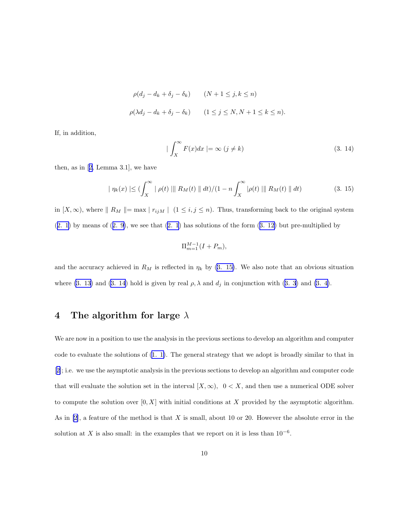$$
\rho(d_j - d_k + \delta_j - \delta_k) \qquad (N+1 \le j, k \le n)
$$
  

$$
\rho(\lambda d_j - d_k + \delta_j - \delta_k) \qquad (1 \le j \le N, N+1 \le k \le n).
$$

<span id="page-9-0"></span>If, in addition,

$$
|\int_{X}^{\infty} F(x)dx| = \infty (j \neq k)
$$
\n(3. 14)

then, as in[[2,](#page-20-0) Lemma 3.1], we have

$$
|\eta_k(x)| \leq (\int_X^{\infty} |\rho(t)| ||R_M(t)|| dt)/(1 - n \int_X^{\infty} |\rho(t)| ||R_M(t)|| dt)
$$
\n(3. 15)

in  $[X, \infty)$ , where  $|| R_M || = \max | r_{ijM} | (1 \le i, j \le n)$ . Thus, transforming back to the original system  $(2. 1)$  $(2. 1)$ by means of  $(2. 9)$  $(2. 9)$ , we see that  $(2. 1)$  $(2. 1)$  $(2. 1)$  has solutions of the form  $(3. 12)$  $(3. 12)$  but pre-multiplied by

$$
\Pi_{m=1}^{M-1}(I+P_m),
$$

and the accuracy achieved in  $R_M$  is reflected in  $\eta_k$  by (3. 15). We also note that an obvious situation where [\(3. 13\)](#page-8-0)and (3. 14) hold is given by real  $\rho$ ,  $\lambda$  and  $d_j$  in conjunction with ([3. 3\)](#page-6-0) and [\(3. 4\)](#page-6-0).

### 4 The algorithm for large  $\lambda$

We are now in a position to use the analysis in the previous sections to develop an algorithm and computer code to evaluate the solutions of [\(1. 1\)](#page-0-0). The general strategy that we adopt is broadly similar to that in [[2\]](#page-20-0); i.e. we use the asymptotic analysis in the previous sections to develop an algorithm and computer code that will evaluate the solution set in the interval  $[X, \infty)$ ,  $0 < X$ , and then use a numerical ODE solver to compute the solution over  $[0, X]$  with initial conditions at X provided by the asymptotic algorithm. As in  $[2]$ , a feature of the method is that X is small, about 10 or 20. However the absolute error in the solution at X is also small: in the examples that we report on it is less than  $10^{-6}$ .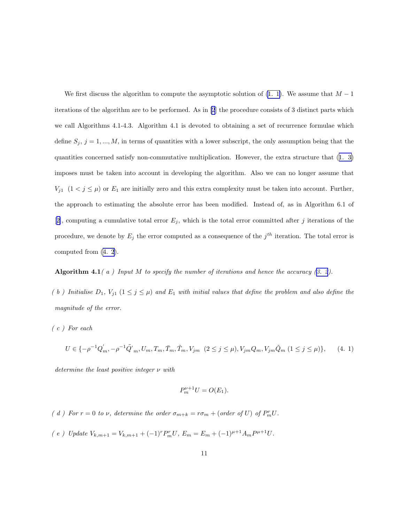<span id="page-10-0"></span>We first discuss the algorithm to compute the asymptotic solution of  $(1, 1)$ . We assume that  $M - 1$ iterations of the algorithm are to be performed. As in [\[2](#page-20-0)] the procedure consists of 3 distinct parts which we call Algorithms 4.1-4.3. Algorithm 4.1 is devoted to obtaining a set of recurrence formulae which define  $S_j$ ,  $j = 1, ..., M$ , in terms of quantities with a lower subscript, the only assumption being that the quantities concerned satisfy non-commutative multiplication. However, the extra structure that([1. 3\)](#page-1-0) imposes must be taken into account in developing the algorithm. Also we can no longer assume that  $V_{j1}$   $(1 < j \leq \mu)$  or  $E_1$  are initially zero and this extra complexity must be taken into account. Further, the approach to estimating the absolute error has been modified. Instead of, as in Algorithm 6.1 of [[2\]](#page-20-0), computing a cumulative total error  $E_j$ , which is the total error committed after j iterations of the procedure, we denote by  $E_j$  the error computed as a consequence of the  $j<sup>th</sup>$  iteration. The total error is computed from [\(4. 2](#page-11-0)).

Algorithm4.1(a) Input M to specify the number of iterations and hence the accuracy  $(3. 2)$  $(3. 2)$  $(3. 2)$ .

(b) Initialise  $D_1$ ,  $V_{j1}$   $(1 \leq j \leq \mu)$  and  $E_1$  with initial values that define the problem and also define the magnitude of the error.

( c ) For each

$$
U \in \{-\rho^{-1}Q'_m, -\rho^{-1}\tilde{Q'}_m, U_m, T_m, \bar{T}_m, \tilde{T}_m, V_{jm} \ (2 \le j \le \mu), V_{jm}Q_m, V_{jm}\tilde{Q}_m \ (1 \le j \le \mu)\},\tag{4.1}
$$

determine the least positive integer ν with

$$
P_m^{\nu+1}U = O(E_1).
$$

- (d) For  $r = 0$  to  $\nu$ , determine the order  $\sigma_{m+k} = r\sigma_m + (\text{order of } U)$  of  $P_m^r U$ .
- ( e ) Update  $V_{k,m+1} = V_{k,m+1} + (-1)^r P_m^r U$ ,  $E_m = E_m + (-1)^{\mu+1} A_m P^{\mu+1} U$ .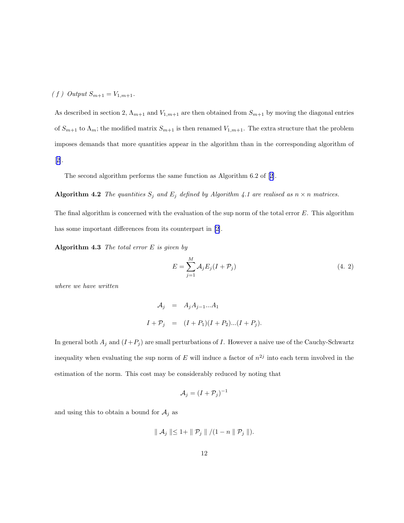#### <span id="page-11-0"></span>( f ) Output  $S_{m+1} = V_{1,m+1}$ .

As described in section 2,  $\Lambda_{m+1}$  and  $V_{1,m+1}$  are then obtained from  $S_{m+1}$  by moving the diagonal entries of  $S_{m+1}$  to  $\Lambda_m$ ; the modified matrix  $S_{m+1}$  is then renamed  $V_{1,m+1}$ . The extra structure that the problem imposes demands that more quantities appear in the algorithm than in the corresponding algorithm of [[2\]](#page-20-0).

The second algorithm performs the same function as Algorithm 6.2 of [[2\]](#page-20-0).

## Algorithm 4.2 The quantities  $S_j$  and  $E_j$  defined by Algorithm 4.1 are realised as  $n \times n$  matrices.

The final algorithm is concerned with the evaluation of the sup norm of the total error  $E$ . This algorithm has some important differences from its counterpart in[[2\]](#page-20-0).

Algorithm 4.3 The total error  $E$  is given by

$$
E = \sum_{j=1}^{M} \mathcal{A}_j E_j (I + \mathcal{P}_j)
$$
\n
$$
\tag{4.2}
$$

where we have written

$$
\mathcal{A}_j = A_j A_{j-1} ... A_1
$$
  

$$
I + \mathcal{P}_j = (I + P_1)(I + P_2)...(I + P_j).
$$

In general both  $A_j$  and  $(I + P_j)$  are small perturbations of I. However a naive use of the Cauchy-Schwartz inequality when evaluating the sup norm of E will induce a factor of  $n^{2j}$  into each term involved in the estimation of the norm. This cost may be considerably reduced by noting that

$$
\mathcal{A}_j = (I + \mathcal{P}_j)^{-1}
$$

and using this to obtain a bound for  $A_j$  as

$$
\parallel \mathcal{A}_j \parallel \leq 1 + \parallel \mathcal{P}_j \parallel / (1 - n \parallel \mathcal{P}_j \parallel).
$$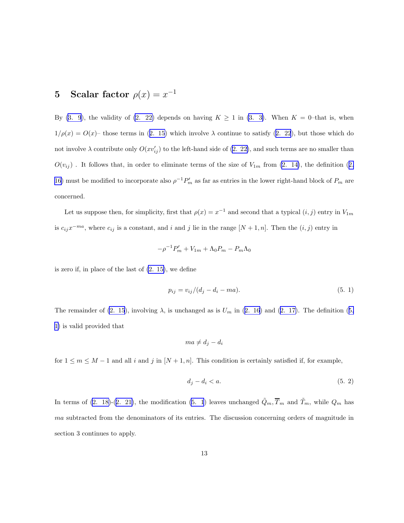# <span id="page-12-0"></span>5 Scalar factor  $\rho(x) = x^{-1}$

By [\(3. 9](#page-7-0)), the validity of [\(2. 22\)](#page-5-0) depends on having  $K \geq 1$  in [\(3. 3\)](#page-6-0). When  $K = 0$ -that is, when  $1/\rho(x) = O(x)$  $1/\rho(x) = O(x)$  $1/\rho(x) = O(x)$ – those terms in ([2. 15\)](#page-4-0) which involve  $\lambda$  continue to satisfy ([2. 22](#page-5-0)), but those which do not involve  $\lambda$  contribute only  $O(xv'_{ij})$  to the left-hand side of [\(2. 22\)](#page-5-0), and such terms are no smaller than  $O(v_{ij})$ .It follows that, in order to eliminate terms of the size of  $V_{1m}$  from [\(2. 14\)](#page-4-0), the definition ([2.](#page-4-0) [16\)](#page-4-0) must be modified to incorporate also  $\rho^{-1}P'_m$  as far as entries in the lower right-hand block of  $P_m$  are concerned.

Let us suppose then, for simplicity, first that  $\rho(x) = x^{-1}$  and second that a typical  $(i, j)$  entry in  $V_{1m}$ is  $c_{ij}x^{-ma}$ , where  $c_{ij}$  is a constant, and i and j lie in the range  $[N+1,n]$ . Then the  $(i, j)$  entry in

$$
-\rho^{-1}P_m' + V_{1m} + \Lambda_0 P_m - P_m \Lambda_0
$$

is zero if, in place of the last of [\(2. 15\)](#page-4-0), we define

$$
p_{ij} = v_{ij}/(d_j - d_i - ma). \tag{5.1}
$$

The remainder of [\(2. 15](#page-4-0)),involving  $\lambda$ , is unchanged as is  $U_m$  in [\(2. 16](#page-4-0)) and ([2. 17\)](#page-4-0). The definition (5. 1) is valid provided that

$$
ma \neq d_j - d_i
$$

for  $1 \leq m \leq M-1$  and all i and j in  $[N+1,n]$ . This condition is certainly satisfied if, for example,

$$
d_j - d_i < a. \tag{5.2}
$$

In terms of [\(2. 18\)](#page-5-0)-([2. 21\)](#page-5-0), the modification (5. 1) leaves unchanged  $\tilde{Q}_m, \overline{T}_m$  and  $\tilde{T}_m$ , while  $Q_m$  has ma subtracted from the denominators of its entries. The discussion concerning orders of magnitude in section 3 continues to apply.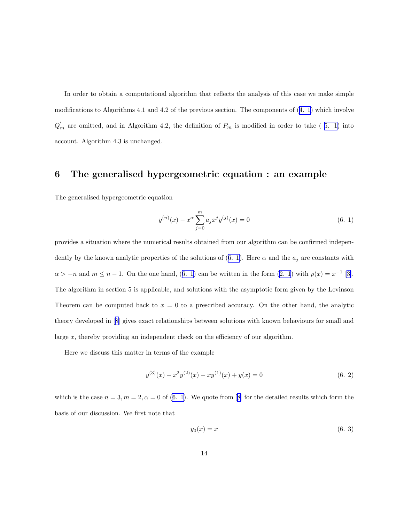<span id="page-13-0"></span>In order to obtain a computational algorithm that reflects the analysis of this case we make simple modifications to Algorithms 4.1 and 4.2 of the previous section. The components of([4. 1\)](#page-10-0) which involve  $Q'_m$  are omitted, and in Algorithm 4.2, the definition of  $P_m$  is modified in order to take (5. 1) into account. Algorithm 4.3 is unchanged.

#### 6 The generalised hypergeometric equation : an example

The generalised hypergeometric equation

$$
y^{(n)}(x) - x^{\alpha} \sum_{j=0}^{m} a_j x^j y^{(j)}(x) = 0
$$
\n(6. 1)

provides a situation where the numerical results obtained from our algorithm can be confirmed independently by the known analytic properties of the solutions of (6. 1). Here  $\alpha$  and the  $a_j$  are constants with  $\alpha > -n$  $\alpha > -n$  $\alpha > -n$  and  $m \leq n-1$ . On the one hand, (6. 1) can be written in the form ([2. 1](#page-2-0)) with  $\rho(x) = x^{-1}$  [[3\]](#page-20-0). The algorithm in section 5 is applicable, and solutions with the asymptotic form given by the Levinson Theorem can be computed back to  $x = 0$  to a prescribed accuracy. On the other hand, the analytic theory developed in[[8\]](#page-20-0) gives exact relationships between solutions with known behaviours for small and large x, thereby providing an independent check on the efficiency of our algorithm.

Here we discuss this matter in terms of the example

$$
y^{(3)}(x) - x^2 y^{(2)}(x) - xy^{(1)}(x) + y(x) = 0
$$
\n(6. 2)

whichis the case  $n = 3, m = 2, \alpha = 0$  of (6. 1). We quote from [[8\]](#page-20-0) for the detailed results which form the basis of our discussion. We first note that

$$
y_0(x) = x \tag{6.3}
$$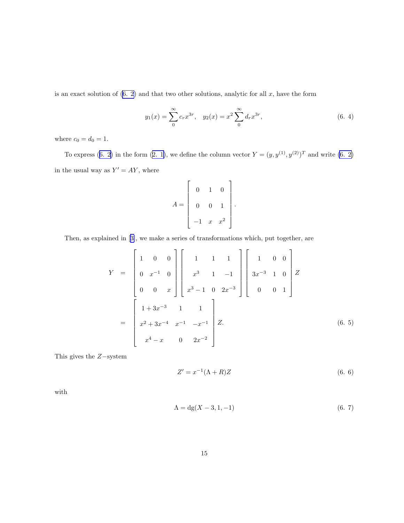<span id="page-14-0"></span>isan exact solution of  $(6. 2)$  $(6. 2)$  $(6. 2)$  and that two other solutions, analytic for all x, have the form

$$
y_1(x) = \sum_{0}^{\infty} c_r x^{3r}, \quad y_2(x) = x^2 \sum_{0}^{\infty} d_r x^{3r}, \tag{6.4}
$$

where  $c_0 = d_0 = 1$ .

Toexpress ([6. 2\)](#page-13-0) in the form ([2. 1\)](#page-2-0), we define the column vector  $Y = (y, y^{(1)}, y^{(2)})^T$  and write [\(6. 2\)](#page-13-0) in the usual way as  $Y' = AY$ , where

$$
A = \begin{bmatrix} 0 & 1 & 0 \\ 0 & 0 & 1 \\ -1 & x & x^2 \end{bmatrix}.
$$

Then, as explained in[[3\]](#page-20-0), we make a series of transformations which, put together, are

$$
Y = \begin{bmatrix} 1 & 0 & 0 \\ 0 & x^{-1} & 0 \\ 0 & 0 & x \end{bmatrix} \begin{bmatrix} 1 & 1 & 1 \\ x^3 & 1 & -1 \\ x^3 - 1 & 0 & 2x^{-3} \end{bmatrix} \begin{bmatrix} 1 & 0 & 0 \\ 3x^{-3} & 1 & 0 \\ 0 & 0 & 1 \end{bmatrix} Z
$$

$$
= \begin{bmatrix} 1 + 3x^{-3} & 1 & 1 \\ x^2 + 3x^{-4} & x^{-1} & -x^{-1} \\ x^4 - x & 0 & 2x^{-2} \end{bmatrix} Z.
$$
(6. 5)

This gives the Z−system

$$
Z' = x^{-1}(\Lambda + R)Z\tag{6.6}
$$

with

$$
\Lambda = dg(X - 3, 1, -1) \tag{6.7}
$$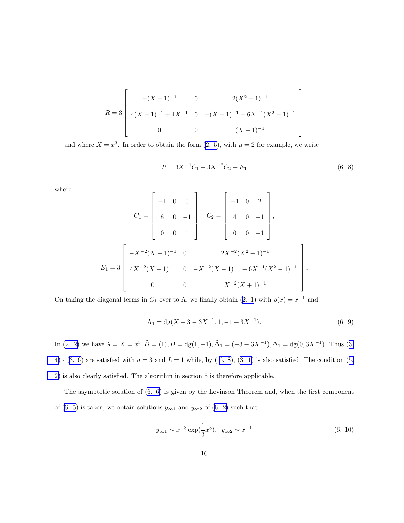<span id="page-15-0"></span>
$$
R = 3 \begin{bmatrix} -(X-1)^{-1} & 0 & 2(X^{2}-1)^{-1} \\ 4(X-1)^{-1} + 4X^{-1} & 0 & -(X-1)^{-1} - 6X^{-1}(X^{2}-1)^{-1} \\ 0 & 0 & (X+1)^{-1} \end{bmatrix}
$$

andwhere  $X = x^3$ . In order to obtain the form  $(2, 5)$ , with  $\mu = 2$  for example, we write

$$
R = 3X^{-1}C_1 + 3X^{-2}C_2 + E_1
$$
\n(6. 8)

1  $\overline{1}$  $\mathbf{I}$  $\mathbf{I}$  $\mathbf{I}$  $\mathbf{I}$  $\mathbf{I}$  $\overline{1}$ 

where

$$
C_1 = \begin{bmatrix} -1 & 0 & 0 \\ 8 & 0 & -1 \\ 0 & 0 & 1 \end{bmatrix}, \quad C_2 = \begin{bmatrix} -1 & 0 & 2 \\ 4 & 0 & -1 \\ 0 & 0 & -1 \end{bmatrix},
$$
  

$$
E_1 = 3 \begin{bmatrix} -X^{-2}(X-1)^{-1} & 0 & 2X^{-2}(X^2-1)^{-1} \\ 4X^{-2}(X-1)^{-1} & 0 & -X^{-2}(X-1)^{-1} - 6X^{-1}(X^2-1)^{-1} \\ 0 & 0 & X^{-2}(X+1)^{-1} \end{bmatrix}.
$$

Ontaking the diagonal terms in  $C_1$  over to  $\Lambda$ , we finally obtain ([2. 1\)](#page-2-0) with  $\rho(x) = x^{-1}$  and

$$
\Lambda_1 = dg(X - 3 - 3X^{-1}, 1, -1 + 3X^{-1}).
$$
\n(6. 9)

In [\(2. 2\)](#page-2-0)we have  $\lambda = X = x^3$ ,  $\tilde{D} = (1)$ ,  $D = dg(1, -1)$ ,  $\tilde{\Delta}_1 = (-3 - 3X^{-1})$ ,  $\Delta_1 = dg(0, 3X^{-1})$ . Thus ([3.](#page-6-0) [4\)](#page-6-0) - [\(3. 6\)](#page-7-0)are satisfied with  $a = 3$  and  $L = 1$  while, by (6. 8), ([3. 1\)](#page-6-0) is also satisfied. The condition ([5.](#page-12-0) [2\)](#page-12-0) is also clearly satisfied. The algorithm in section 5 is therefore applicable.

The asymptotic solution of [\(6. 6\)](#page-14-0) is given by the Levinson Theorem and, when the first component of [\(6. 5](#page-14-0)) is taken, we obtain solutions  $y_{\infty 1}$  and  $y_{\infty 2}$  of [\(6. 2\)](#page-13-0) such that

$$
y_{\infty 1} \sim x^{-3} \exp(\frac{1}{3}x^3), \quad y_{\infty 2} \sim x^{-1}
$$
 (6. 10)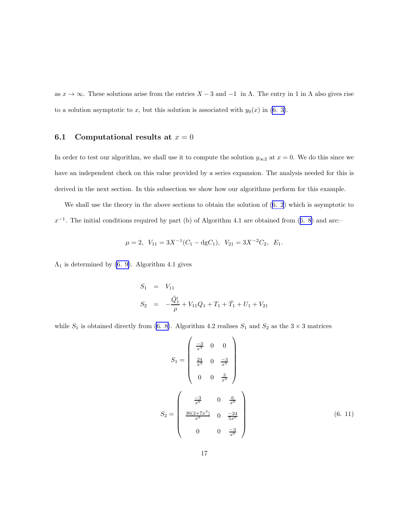<span id="page-16-0"></span>as  $x \to \infty$ . These solutions arise from the entries  $X - 3$  and  $-1$  in  $\Lambda$ . The entry in 1 in  $\Lambda$  also gives rise to a solution asymptotic to x, but this solution is associated with  $y_0(x)$  in [\(6. 3\)](#page-13-0).

#### 6.1 Computational results at  $x = 0$

In order to test our algorithm, we shall use it to compute the solution  $y_{\infty 2}$  at  $x = 0$ . We do this since we have an independent check on this value provided by a series expansion. The analysis needed for this is derived in the next section. In this subsection we show how our algorithms perform for this example.

We shall use the theory in the above sections to obtain the solution of([6. 2](#page-13-0)) which is asymptotic to  $x^{-1}$ .The initial conditions required by part (b) of Algorithm 4.1 are obtained from ([6. 8\)](#page-15-0) and are:–

$$
\mu = 2
$$
,  $V_{11} = 3X^{-1}(C_1 - \text{dg}C_1)$ ,  $V_{21} = 3X^{-2}C_2$ ,  $E_1$ .

 $\Lambda_1$  is determined by [\(6. 9\)](#page-15-0). Algorithm 4.1 gives

$$
S_1 = V_{11}
$$
  
\n
$$
S_2 = -\frac{\tilde{Q}'_1}{\rho} + V_{11}Q_1 + T_1 + \bar{T}_1 + U_1 + V_{21}
$$

while  $S_1$  is obtained directly from [\(6. 8\)](#page-15-0). Algorithm 4.2 realises  $S_1$  and  $S_2$  as the 3 × 3 matrices

$$
S_1 = \begin{pmatrix} \frac{-3}{x^3} & 0 & 0\\ \frac{24}{x^3} & 0 & \frac{-3}{x^3}\\ 0 & 0 & \frac{3}{x^3} \end{pmatrix}
$$

$$
S_2 = \begin{pmatrix} \frac{-3}{x^6} & 0 & \frac{6}{x^6} \\ \frac{36(2+7x^3)}{x^9} & 0 & \frac{-24}{5x^6} \\ 0 & 0 & \frac{-3}{x^6} \end{pmatrix}
$$
(6. 11)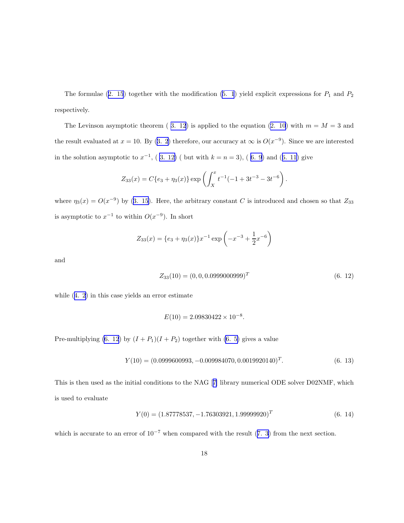<span id="page-17-0"></span>Theformulae ([2. 15](#page-4-0)) together with the modification ([5. 1](#page-12-0)) yield explicit expressions for  $P_1$  and  $P_2$ respectively.

TheLevinson asymptotic theorem (3. 12) is applied to the equation ([2. 10](#page-3-0)) with  $m = M = 3$  and theresult evaluated at  $x = 10$ . By ([3. 2](#page-6-0)) therefore, our accuracy at  $\infty$  is  $O(x^{-9})$ . Since we are interested inthe solution asymptotic to  $x^{-1}$ , (3. 12) (but with  $k = n = 3$ ), (6. 9) and ([6. 11\)](#page-16-0) give

$$
Z_{33}(x) = C\{e_3 + \eta_3(x)\} \exp\left(\int_X^x t^{-1}(-1 + 3t^{-3} - 3t^{-6})\right).
$$

where  $\eta_3(x) = O(x^{-9})$  by [\(3. 15](#page-9-0)). Here, the arbitrary constant C is introduced and chosen so that  $Z_{33}$ is asymptotic to  $x^{-1}$  to within  $O(x^{-9})$ . In short

$$
Z_{33}(x) = \{e_3 + \eta_3(x)\}x^{-1}\exp\left(-x^{-3} + \frac{1}{2}x^{-6}\right)
$$

and

$$
Z_{33}(10) = (0, 0, 0.0999000999)^T
$$
\n(6. 12)

while([4. 2\)](#page-11-0) in this case yields an error estimate

$$
E(10) = 2.09830422 \times 10^{-8}.
$$

Pre-multiplying (6. 12) by  $(I + P_1)(I + P_2)$  together with [\(6. 5\)](#page-14-0) gives a value

$$
Y(10) = (0.0999600993, -0.009984070, 0.0019920140)^{T}.
$$
\n(6. 13)

This is then used as the initial conditions to the NAG[[7\]](#page-20-0) library numerical ODE solver D02NMF, which is used to evaluate

$$
Y(0) = (1.87778537, -1.76303921, 1.99999920)^T
$$
\n(6. 14)

whichis accurate to an error of  $10^{-7}$  when compared with the result ([7. 3](#page-19-0)) from the next section.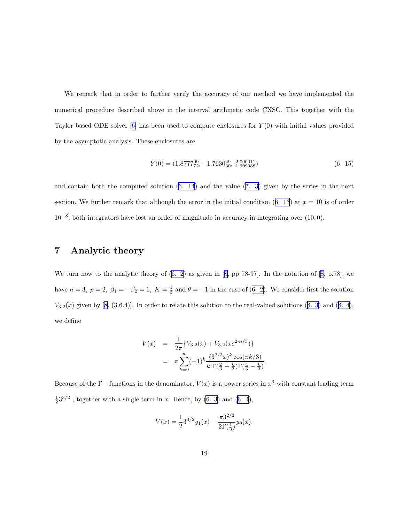<span id="page-18-0"></span>We remark that in order to further verify the accuracy of our method we have implemented the numerical procedure described above in the interval arithmetic code CXSC. This together with the Taylorbased ODE solver  $[6]$  $[6]$  has been used to compute enclosures for  $Y(0)$  with initial values provided by the asymptotic analysis. These enclosures are

$$
Y(0) = (1.877729, -1.7630_{30}^{49}, \frac{2.000011}{1.999988})
$$
\n
$$
(6. 15)
$$

and contain both the computed solution([6. 14](#page-17-0)) and the value [\(7. 3\)](#page-19-0) given by the series in the next section.We further remark that although the error in the initial condition  $(6. 13)$  $(6. 13)$  $(6. 13)$  at  $x = 10$  is of order 10<sup>−</sup><sup>8</sup> , both integrators have lost an order of magnitude in accuracy in integrating over (10, 0).

#### 7 Analytic theory

We turn now to the analytic theory of([6. 2](#page-13-0)) as given in[[8,](#page-20-0) pp 78-97]. In the notation of[[8,](#page-20-0) p.78], we have $n = 3$ ,  $p = 2$ ,  $\beta_1 = -\beta_2 = 1$ ,  $K = \frac{1}{3}$  and  $\theta = -1$  in the case of ([6. 2](#page-13-0)). We consider first the solution  $V_{3,2}(x)$  given by [\[8](#page-20-0),(3.6.4)]. In order to relate this solution to the real-valued solutions ([6. 3\)](#page-13-0) and ([6. 4\)](#page-14-0), we define

$$
V(x) = \frac{1}{2\pi} \{ V_{3,2}(x) + V_{3,2}(xe^{2\pi i/3}) \}
$$
  
=  $\pi \sum_{k=0}^{\infty} (-1)^k \frac{(3^{2/3}x)^k \cos(\pi k/3)}{k!\Gamma(\frac{2}{3} - \frac{k}{3})\Gamma(\frac{4}{3} - \frac{k}{3})}.$ 

Because of the  $\Gamma$ -functions in the denominator,  $V(x)$  is a power series in  $x^3$  with constant leading term  $\frac{1}{2}3^{3/2}$ , together with a single term in x. Hence, by [\(6. 3\)](#page-13-0) and [\(6. 4](#page-14-0)),

$$
V(x) = \frac{1}{2}3^{3/2}y_1(x) - \frac{\pi 3^{2/3}}{2\Gamma(\frac{1}{3})}y_0(x).
$$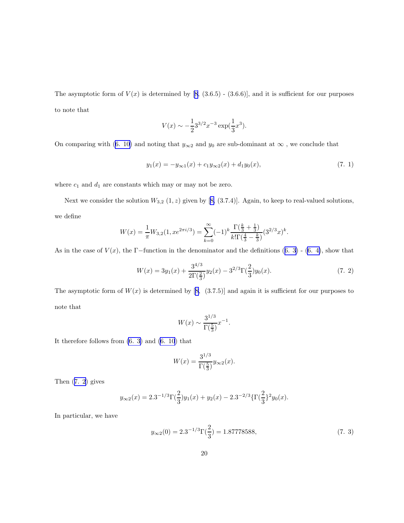<span id="page-19-0"></span>Theasymptotic form of  $V(x)$  is determined by [[8,](#page-20-0) (3.6.5) - (3.6.6)], and it is sufficient for our purposes to note that

$$
V(x) \sim -\frac{1}{2}3^{3/2}x^{-3}\exp(\frac{1}{3}x^3).
$$

Oncomparing with ([6. 10\)](#page-15-0) and noting that  $y_{\infty 2}$  and  $y_0$  are sub-dominant at  $\infty$ , we conclude that

$$
y_1(x) = -y_{\infty 1}(x) + c_1 y_{\infty 2}(x) + d_1 y_0(x), \tag{7.1}
$$

where  $c_1$  and  $d_1$  are constants which may or may not be zero.

Nextwe consider the solution  $W_{3,2}(1, z)$  given by [[8,](#page-20-0) (3.7.4)]. Again, to keep to real-valued solutions, we define

$$
W(x) = \frac{1}{\pi} W_{3,2}(1, x e^{2\pi i/3}) = \sum_{k=0}^{\infty} (-1)^k \frac{\Gamma(\frac{k}{3} + \frac{1}{3})}{k! \Gamma(\frac{4}{3} - \frac{k}{3})} (3^{2/3} x)^k.
$$

Asin the case of  $V(x)$ , the Γ−function in the denominator and the definitions ([6. 3\)](#page-13-0) - [\(6. 4\)](#page-14-0), show that

$$
W(x) = 3y_1(x) + \frac{3^{4/3}}{2\Gamma(\frac{2}{3})}y_2(x) - 3^{2/3}\Gamma(\frac{2}{3})y_0(x).
$$
 (7. 2)

The asymptotic form of  $W(x)$  is determined by [\[8](#page-20-0), (3.7.5)] and again it is sufficient for our purposes to note that

$$
W(x) \sim \frac{3^{1/3}}{\Gamma(\frac{5}{3})} x^{-1}.
$$

It therefore follows from [\(6. 3\)](#page-13-0) and [\(6. 10](#page-15-0)) that

$$
W(x) = \frac{3^{1/3}}{\Gamma(\frac{5}{3})} y_{\infty 2}(x).
$$

Then (7. 2) gives

$$
y_{\infty 2}(x) = 2.3^{-1/3} \Gamma(\frac{2}{3}) y_1(x) + y_2(x) - 2.3^{-2/3} {\Gamma(\frac{2}{3})^2 y_0(x)}.
$$

In particular, we have

$$
y_{\infty 2}(0) = 2.3^{-1/3} \Gamma(\frac{2}{3}) = 1.87778588,\tag{7.3}
$$